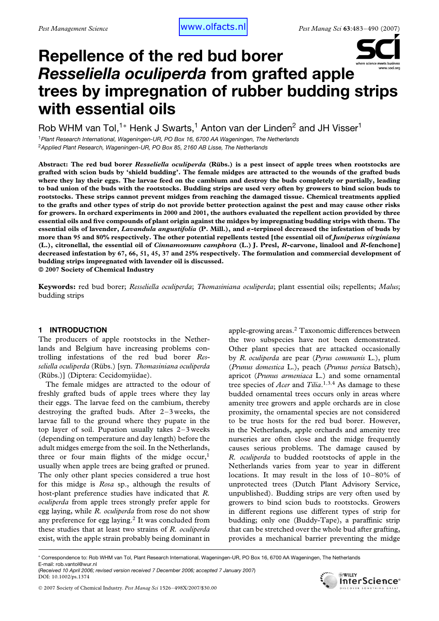# **Repellence of the red bud borer** *Resseliella oculiperda* **from grafted apple trees by impregnation of rubber budding strips with essential oils**

Rob WHM van Tol,<sup>1</sup><sup>∗</sup> Henk J Swarts,<sup>1</sup> Anton van der Linden<sup>2</sup> and JH Visser<sup>1</sup>

<sup>1</sup>*Plant Research International, Wageningen-UR, PO Box 16, 6700 AA Wageningen, The Netherlands*

<sup>2</sup>*Applied Plant Research, Wageningen-UR, PO Box 85, 2160 AB Lisse, The Netherlands*

**Abstract: The red bud borer** *Resseliella oculiperda* **(Rubs.) is a pest insect of apple trees when rootstocks are ¨ grafted with scion buds by 'shield budding'. The female midges are attracted to the wounds of the grafted buds where they lay their eggs. The larvae feed on the cambium and destroy the buds completely or partially, leading to bad union of the buds with the rootstocks. Budding strips are used very often by growers to bind scion buds to rootstocks. These strips cannot prevent midges from reaching the damaged tissue. Chemical treatments applied to the grafts and other types of strip do not provide better protection against the pest and may cause other risks for growers. In orchard experiments in 2000 and 2001, the authors evaluated the repellent action provided by three essential oils and five compounds of plant origin against the midges by impregnating budding strips with them. The essential oils of lavender,** *Lavandula angustifolia* **(P. Mill.), and** *α***-terpineol decreased the infestation of buds by more than 95 and 80% respectively. The other potential repellents tested [the essential oil of** *Juniperus virginiana* **(L.), citronellal, the essential oil of** *Cinnamomum camphora* **(L.) J. Presl,** *R***-carvone, linalool and** *R***-fenchone] decreased infestation by 67, 66, 51, 45, 37 and 25% respectively. The formulation and commercial development of budding strips impregnated with lavender oil is discussed.**

**2007 Society of Chemical Industry**

**Keywords:** red bud borer; *Resseliella oculiperda*; *Thomasiniana oculiperda*; plant essential oils; repellents; *Malus*; budding strips

## **1 INTRODUCTION**

The producers of apple rootstocks in the Netherlands and Belgium have increasing problems controlling infestations of the red bud borer *Resseliella oculiperda* (Rubs.) [syn. ¨ *Thomasiniana oculiperda* (Rübs.)] (Diptera: Cecidomyiidae).

The female midges are attracted to the odour of freshly grafted buds of apple trees where they lay their eggs. The larvae feed on the cambium, thereby destroying the grafted buds. After 2–3 weeks, the larvae fall to the ground where they pupate in the top layer of soil. Pupation usually takes 2–3 weeks (depending on temperature and day length) before the adult midges emerge from the soil. In the Netherlands, three or four main flights of the midge occur,<sup>1</sup> usually when apple trees are being grafted or pruned. The only other plant species considered a true host for this midge is *Rosa* sp., although the results of host-plant preference studies have indicated that *R. oculiperda* from apple trees strongly prefer apple for egg laying, while *R. oculiperda* from rose do not show any preference for egg laying.<sup>2</sup> It was concluded from these studies that at least two strains of *R. oculiperda* exist, with the apple strain probably being dominant in

apple-growing areas.<sup>2</sup> Taxonomic differences between the two subspecies have not been demonstrated. Other plant species that are attacked occasionally by *R. oculiperda* are pear (*Pyrus communis* L.), plum (*Prunus domestica* L.), peach (*Prunus persica* Batsch), apricot (*Prunus armeniaca* L.) and some ornamental tree species of *Acer* and *Tilia*. <sup>1</sup>*,*3*,*<sup>4</sup> As damage to these budded ornamental trees occurs only in areas where amenity tree growers and apple orchards are in close proximity, the ornamental species are not considered to be true hosts for the red bud borer. However, in the Netherlands, apple orchards and amenity tree nurseries are often close and the midge frequently causes serious problems. The damage caused by *R. oculiperda* to budded rootstocks of apple in the Netherlands varies from year to year in different locations. It may result in the loss of 10–80% of unprotected trees (Dutch Plant Advisory Service, unpublished). Budding strips are very often used by growers to bind scion buds to rootstocks. Growers in different regions use different types of strip for budding; only one (Buddy-Tape), a paraffinic strip that can be stretched over the whole bud after grafting, provides a mechanical barrier preventing the midge



<sup>∗</sup> Correspondence to: Rob WHM van Tol, Plant Research International, Wageningen-UR, PO Box 16, 6700 AA Wageningen, The Netherlands E-mail: rob.vantol@wur.nl

<sup>(</sup>*Received 10 April 2006; revised version received 7 December 2006; accepted 7 January 2007*) DOI: 10.1002/ps.1374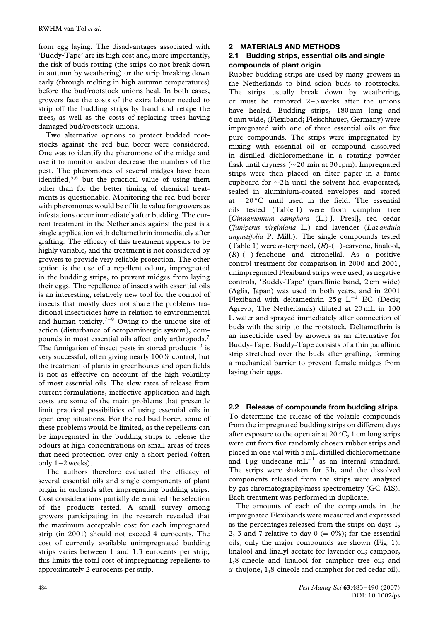from egg laying. The disadvantages associated with 'Buddy-Tape' are its high cost and, more importantly, the risk of buds rotting (the strips do not break down in autumn by weathering) or the strip breaking down early (through melting in high autumn temperatures) before the bud/rootstock unions heal. In both cases, growers face the costs of the extra labour needed to strip off the budding strips by hand and retape the trees, as well as the costs of replacing trees having damaged bud/rootstock unions.

Two alternative options to protect budded rootstocks against the red bud borer were considered. One was to identify the pheromone of the midge and use it to monitor and/or decrease the numbers of the pest. The pheromones of several midges have been identified,5*,*<sup>6</sup> but the practical value of using them other than for the better timing of chemical treatments is questionable. Monitoring the red bud borer with pheromones would be of little value for growers as infestations occur immediately after budding. The current treatment in the Netherlands against the pest is a single application with deltamethrin immediately after grafting. The efficacy of this treatment appears to be highly variable, and the treatment is not considered by growers to provide very reliable protection. The other option is the use of a repellent odour, impregnated in the budding strips, to prevent midges from laying their eggs. The repellence of insects with essential oils is an interesting, relatively new tool for the control of insects that mostly does not share the problems traditional insecticides have in relation to environmental and human toxicity. $7-9$  Owing to the unique site of action (disturbance of octopaminergic system), compounds in most essential oils affect only arthropods.7 The fumigation of insect pests in stored products<sup>10</sup> is very successful, often giving nearly 100% control, but the treatment of plants in greenhouses and open fields is not as effective on account of the high volatility of most essential oils. The slow rates of release from current formulations, ineffective application and high costs are some of the main problems that presently limit practical possibilities of using essential oils in open crop situations. For the red bud borer, some of these problems would be limited, as the repellents can be impregnated in the budding strips to release the odours at high concentrations on small areas of trees that need protection over only a short period (often only  $1-2$  weeks).

The authors therefore evaluated the efficacy of several essential oils and single components of plant origin in orchards after impregnating budding strips. Cost considerations partially determined the selection of the products tested. A small survey among growers participating in the research revealed that the maximum acceptable cost for each impregnated strip (in 2001) should not exceed 4 eurocents. The cost of currently available unimpregnated budding strips varies between 1 and 1.3 eurocents per strip; this limits the total cost of impregnating repellents to approximately 2 eurocents per strip.

## **2 MATERIALS AND METHODS**

# **2.1 Budding strips, essential oils and single compounds of plant origin**

Rubber budding strips are used by many growers in the Netherlands to bind scion buds to rootstocks. The strips usually break down by weathering, or must be removed 2–3 weeks after the unions have healed. Budding strips, 180 mm long and 6 mm wide, (Flexiband; Fleischhauer, Germany) were impregnated with one of three essential oils or five pure compounds. The strips were impregnated by mixing with essential oil or compound dissolved in distilled dichloromethane in a rotating powder flask until dryness (∼20 min at 30 rpm). Impregnated strips were then placed on filter paper in a fume cupboard for ∼2 h until the solvent had evaporated, sealed in aluminium-coated envelopes and stored at  $-20$  °C until used in the field. The essential oils tested (Table 1) were from camphor tree [*Cinnamomum camphora* (L.) J. Presl], red cedar (*Juniperus virginiana* L.) and lavender (*Lavandula angustifolia* P. Mill.). The single compounds tested (Table 1) were *α*-terpineol, (*R*)-(−)-carvone, linalool, (*R*)-(−)-fenchone and citronellal. As a positive control treatment for comparison in 2000 and 2001, unimpregnated Flexiband strips were used; as negative controls, 'Buddy-Tape' (paraffinic band, 2 cm wide) (Aglis, Japan) was used in both years, and in 2001 Flexiband with deltamethrin 25 g  $L^{-1}$  EC (Decis; Agrevo, The Netherlands) diluted at 20 mL in 100 L water and sprayed immediately after connection of buds with the strip to the rootstock. Deltamethrin is an insecticide used by growers as an alternative for Buddy-Tape. Buddy-Tape consists of a thin paraffinic strip stretched over the buds after grafting, forming a mechanical barrier to prevent female midges from laying their eggs.

## **2.2 Release of compounds from budding strips**

To determine the release of the volatile compounds from the impregnated budding strips on different days after exposure to the open air at  $20^{\circ}$ C, 1 cm long strips were cut from five randomly chosen rubber strips and placed in one vial with 5 mL distilled dichloromethane and  $1 \mu$ g undecane mL<sup>-1</sup> as an internal standard. The strips were shaken for 5 h, and the dissolved components released from the strips were analysed by gas chromatography/mass spectrometry (GC-MS). Each treatment was performed in duplicate.

The amounts of each of the compounds in the impregnated Flexibands were measured and expressed as the percentages released from the strips on days 1, 2, 3 and 7 relative to day  $0 (= 0\%)$ ; for the essential oils, only the major compounds are shown (Fig. 1): linalool and linalyl acetate for lavender oil; camphor, 1,8-cineole and linalool for camphor tree oil; and *α*-thujone, 1,8-cineole and camphor for red cedar oil).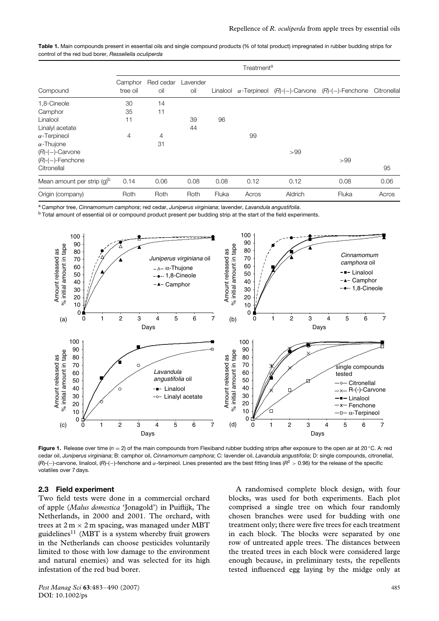| Table 1. Main compounds present in essential oils and single compound products (% of total product) impregnated in rubber budding strips for |  |  |
|----------------------------------------------------------------------------------------------------------------------------------------------|--|--|
| control of the red bud borer, Resseliella oculiperda                                                                                         |  |  |

| Compound                   | Treatment <sup>a</sup> |                  |                 |          |                     |         |                                        |             |  |
|----------------------------|------------------------|------------------|-----------------|----------|---------------------|---------|----------------------------------------|-------------|--|
|                            | Camphor<br>tree oil    | Red cedar<br>oil | Lavender<br>oil | Linalool | $\alpha$ -Terpineol |         | $(R)-(-)$ -Carvone $(R)-(-)$ -Fenchone | Citronellal |  |
| 1,8-Cineole                | 30                     | 14               |                 |          |                     |         |                                        |             |  |
| Camphor                    | 35                     | 11               |                 |          |                     |         |                                        |             |  |
| Linalool                   | 11                     |                  | 39              | 96       |                     |         |                                        |             |  |
| Linalyl acetate            |                        |                  | 44              |          |                     |         |                                        |             |  |
| $\alpha$ -Terpineol        | 4                      | $\overline{4}$   |                 |          | 99                  |         |                                        |             |  |
| $\alpha$ -Thujone          |                        | 31               |                 |          |                     |         |                                        |             |  |
| $(R)-(-)$ -Carvone         |                        |                  |                 |          |                     | >99     |                                        |             |  |
| $(R)-(-)$ -Fenchone        |                        |                  |                 |          |                     |         | >99                                    |             |  |
| Citronellal                |                        |                  |                 |          |                     |         |                                        | 95          |  |
| Mean amount per strip (g)b | 0.14                   | 0.06             | 0.08            | 0.08     | 0.12                | 0.12    | 0.08                                   | 0.06        |  |
| Origin (company)           | Roth                   | Roth             | Roth            | Fluka    | Acros               | Aldrich | Fluka                                  | Acros       |  |

<sup>a</sup> Camphor tree, *Cinnamomum camphora*; red cedar, *Juniperus virginiana*; lavender, *Lavandula angustifolia*.

**b** Total amount of essential oil or compound product present per budding strip at the start of the field experiments.



**Figure 1.** Release over time (*n* = 2) of the main compounds from Flexiband rubber budding strips after exposure to the open air at 20 °C. A: red cedar oil, *Juniperus virginiana*; B: camphor oil, *Cinnamomum camphora*; C: lavender oil, *Lavandula angustifolia*; D: single compounds, citronellal, (*R*)-(−)-carvone, linalool, (*R*)-(−)-fenchone and *<sup>α</sup>*-terpineol. Lines presented are the best fitting lines (*R*<sup>2</sup> *<sup>&</sup>gt;* <sup>0</sup>*.*96) for the release of the specific volatiles over 7 days.

## **2.3 Field experiment**

Two field tests were done in a commercial orchard of apple (*Malus domestica* 'Jonagold') in Puiflijk, The Netherlands, in 2000 and 2001. The orchard, with trees at  $2 \text{ m} \times 2 \text{ m}$  spacing, was managed under MBT guidelines<sup>11</sup> (MBT is a system whereby fruit growers in the Netherlands can choose pesticides voluntarily limited to those with low damage to the environment and natural enemies) and was selected for its high infestation of the red bud borer.

A randomised complete block design, with four blocks, was used for both experiments. Each plot comprised a single tree on which four randomly chosen branches were used for budding with one treatment only; there were five trees for each treatment in each block. The blocks were separated by one row of untreated apple trees. The distances between the treated trees in each block were considered large enough because, in preliminary tests, the repellents tested influenced egg laying by the midge only at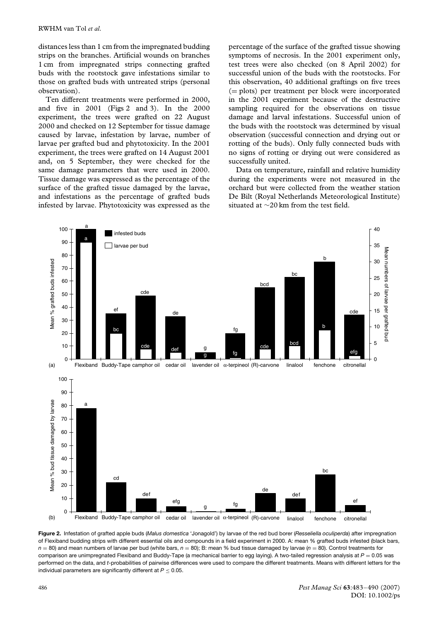distances less than 1 cm from the impregnated budding strips on the branches. Artificial wounds on branches 1 cm from impregnated strips connecting grafted buds with the rootstock gave infestations similar to those on grafted buds with untreated strips (personal observation).

Ten different treatments were performed in 2000, and five in 2001 (Figs 2 and 3). In the 2000 experiment, the trees were grafted on 22 August 2000 and checked on 12 September for tissue damage caused by larvae, infestation by larvae, number of larvae per grafted bud and phytotoxicity. In the 2001 experiment, the trees were grafted on 14 August 2001 and, on 5 September, they were checked for the same damage parameters that were used in 2000. Tissue damage was expressed as the percentage of the surface of the grafted tissue damaged by the larvae, and infestations as the percentage of grafted buds infested by larvae. Phytotoxicity was expressed as the percentage of the surface of the grafted tissue showing symptoms of necrosis. In the 2001 experiment only, test trees were also checked (on 8 April 2002) for successful union of the buds with the rootstocks. For this observation, 40 additional graftings on five trees (= plots) per treatment per block were incorporated in the 2001 experiment because of the destructive sampling required for the observations on tissue damage and larval infestations. Successful union of the buds with the rootstock was determined by visual observation (successful connection and drying out or rotting of the buds). Only fully connected buds with no signs of rotting or drying out were considered as successfully united.

Data on temperature, rainfall and relative humidity during the experiments were not measured in the orchard but were collected from the weather station De Bilt (Royal Netherlands Meteorological Institute) situated at ∼20 km from the test field.



**Figure 2.** Infestation of grafted apple buds (*Malus domestica* 'Jonagold') by larvae of the red bud borer (*Resseliella oculiperda*) after impregnation of Flexiband budding strips with different essential oils and compounds in a field experiment in 2000. A: mean % grafted buds infested (black bars, *n* = 80) and mean numbers of larvae per bud (white bars, *n* = 80); B: mean % bud tissue damaged by larvae (*n* = 80). Control treatments for comparison are unimpregnated Flexiband and Buddy-Tape (a mechanical barrier to egg laying). A two-tailed regression analysis at *P* = 0*.*05 was performed on the data, and *t*-probabilities of pairwise differences were used to compare the different treatments. Means with different letters for the individual parameters are significantly different at  $P \leq 0.05$ .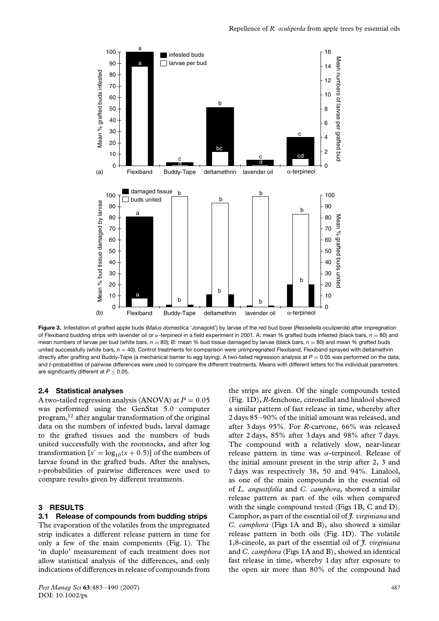

**Figure 3.** Infestation of grafted apple buds (*Malus domestica* 'Jonagold') by larvae of the red bud borer (*Resseliella oculiperda*) after impregnation of Flexiband budding strips with lavender oil or *α*-terpineol in a field experiment in 2001. A: mean % grafted buds infested (black bars, *n* = 80) and mean numbers of larvae per bud (white bars, *n* = 80); B: mean % bud tissue damaged by larvae (black bars, *n* = 80) and mean % grafted buds united successfully (white bars,  $n = 40$ ). Control treatments for comparison were unimpregnated Flexiband, Flexiband sprayed with deltamethrin directly after grafting and Buddy-Tape (a mechanical barrier to egg laying). A two-tailed regression analysis at  $P = 0.05$  was performed on the data, and *t*-probabilities of pairwise differences were used to compare the different treatments. Means with different letters for the individual parameters are significantly different at  $P \leq 0.05$ .

## **2.4 Statistical analyses**

A two-tailed regression analysis (ANOVA) at  $P = 0.05$ was performed using the GenStat 5.0 computer program, $^{12}$  after angular transformation of the original data on the numbers of infested buds, larval damage to the grafted tissues and the numbers of buds united successfully with the rootstocks, and after log transformation  $[x' = log_{10}(x + 0.5)]$  of the numbers of larvae found in the grafted buds. After the analyses, *t*-probabilities of pairwise differences were used to compare results given by different treatments.

## **3 RESULTS**

#### **3.1 Release of compounds from budding strips**

The evaporation of the volatiles from the impregnated strip indicates a different release pattern in time for only a few of the main components (Fig. 1). The 'in duplo' measurement of each treatment does not allow statistical analysis of the differences, and only indications of differences in release of compounds from the strips are given. Of the single compounds tested (Fig. 1D), *R*-fenchone, citronellal and linalool showed a similar pattern of fast release in time, whereby after 2 days 85–90% of the initial amount was released, and after 3 days 95%. For *R*-carvone, 66% was released after 2 days, 85% after 3 days and 98% after 7 days. The compound with a relatively slow, near-linear release pattern in time was *α*-terpineol. Release of the initial amount present in the strip after 2, 3 and 7 days was respectively 38, 50 and 94%. Linalool, as one of the main compounds in the essential oil of *L. angustifolia* and *C. camphora*, showed a similar release pattern as part of the oils when compared with the single compound tested (Figs 1B, C and D). Camphor, as part of the essential oil of *J. virginiana* and *C. camphora* (Figs 1A and B), also showed a similar release pattern in both oils (Fig. 1D). The volatile 1,8-cineole, as part of the essential oil of *J. virginiana* and *C. camphora* (Figs 1A and B), showed an identical fast release in time, whereby 1 day after exposure to the open air more than 80% of the compound had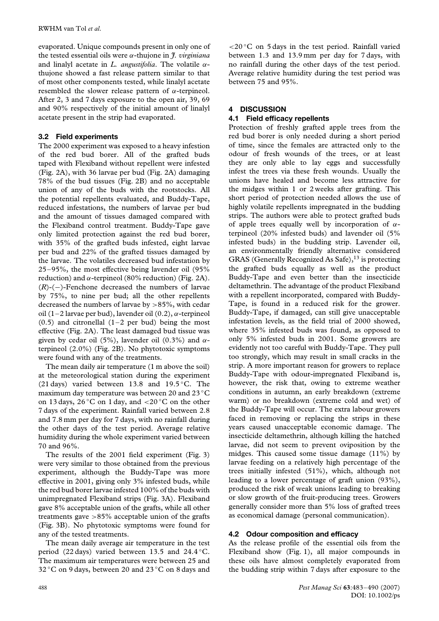evaporated. Unique compounds present in only one of the tested essential oils were *α*-thujone in *J. virginiana* and linalyl acetate in *L. angustifolia*. The volatile *α*thujone showed a fast release pattern similar to that of most other components tested, while linalyl acetate resembled the slower release pattern of *α*-terpineol. After 2, 3 and 7 days exposure to the open air, 39, 69 and 90% respectively of the initial amount of linalyl acetate present in the strip had evaporated.

## **3.2 Field experiments**

The 2000 experiment was exposed to a heavy infestion of the red bud borer. All of the grafted buds taped with Flexiband without repellent were infested (Fig. 2A), with 36 larvae per bud (Fig. 2A) damaging 78% of the bud tissues (Fig. 2B) and no acceptable union of any of the buds with the rootstocks. All the potential repellents evaluated, and Buddy-Tape, reduced infestations, the numbers of larvae per bud and the amount of tissues damaged compared with the Flexiband control treatment. Buddy-Tape gave only limited protection against the red bud borer, with 35% of the grafted buds infested, eight larvae per bud and 22% of the grafted tissues damaged by the larvae. The volatiles decreased bud infestation by 25–95%, the most effective being lavender oil (95% reduction) and  $α$ -terpineol (80% reduction) (Fig. 2A). (*R*)-(−)-Fenchone decreased the numbers of larvae by 75%, to nine per bud; all the other repellents decreased the numbers of larvae by *>*85%, with cedar oil (1–2 larvae per bud), lavender oil (0.2), *α*-terpineol  $(0.5)$  and citronellal  $(1-2$  per bud) being the most effective (Fig. 2A). The least damaged bud tissue was given by cedar oil (5%), lavender oil (0.3%) and  $\alpha$ terpineol (2.0%) (Fig. 2B). No phytotoxic symptoms were found with any of the treatments.

The mean daily air temperature (1 m above the soil) at the meteorological station during the experiment (21 days) varied between 13.8 and 19.5 °C. The maximum day temperature was between 20 and 23 ◦C on 13 days, 26 ◦C on 1 day, and *<*20 ◦C on the other 7 days of the experiment. Rainfall varied between 2.8 and 7.8 mm per day for 7 days, with no rainfall during the other days of the test period. Average relative humidity during the whole experiment varied between 70 and 96%.

The results of the 2001 field experiment (Fig. 3) were very similar to those obtained from the previous experiment, although the Buddy-Tape was more effective in 2001, giving only 3% infested buds, while the red bud borer larvae infested 100% of the buds with unimpregnated Flexiband strips (Fig. 3A). Flexiband gave 8% acceptable union of the grafts, while all other treatments gave *>*85% acceptable union of the grafts (Fig. 3B). No phytotoxic symptoms were found for any of the tested treatments.

The mean daily average air temperature in the test period (22 days) varied between 13.5 and 24.4  $°C$ . The maximum air temperatures were between 25 and 32 ◦C on 9 days, between 20 and 23 ◦C on 8 days and *<*20 ◦C on 5 days in the test period. Rainfall varied between 1.3 and 13.9 mm per day for 7 days, with no rainfall during the other days of the test period. Average relative humidity during the test period was between 75 and 95%.

# **4 DISCUSSION**

# **4.1 Field efficacy repellents**

Protection of freshly grafted apple trees from the red bud borer is only needed during a short period of time, since the females are attracted only to the odour of fresh wounds of the trees, or at least they are only able to lay eggs and successfully infest the trees via these fresh wounds. Usually the unions have healed and become less attractive for the midges within 1 or 2 weeks after grafting. This short period of protection needed allows the use of highly volatile repellents impregnated in the budding strips. The authors were able to protect grafted buds of apple trees equally well by incorporation of *α*terpineol (20% infested buds) and lavender oil (5% infested buds) in the budding strip. Lavender oil, an environmentally friendly alternative considered GRAS (Generally Recognized As Safe), $13$  is protecting the grafted buds equally as well as the product Buddy-Tape and even better than the insecticide deltamethrin. The advantage of the product Flexiband with a repellent incorporated, compared with Buddy-Tape, is found in a reduced risk for the grower. Buddy-Tape, if damaged, can still give unacceptable infestation levels, as the field trial of 2000 showed, where 35% infested buds was found, as opposed to only 5% infested buds in 2001. Some growers are evidently not too careful with Buddy-Tape. They pull too strongly, which may result in small cracks in the strip. A more important reason for growers to replace Buddy-Tape with odour-impregnated Flexiband is, however, the risk that, owing to extreme weather conditions in autumn, an early breakdown (extreme warm) or no breakdown (extreme cold and wet) of the Buddy-Tape will occur. The extra labour growers faced in removing or replacing the strips in these years caused unacceptable economic damage. The insecticide deltamethrin, although killing the hatched larvae, did not seem to prevent oviposition by the midges. This caused some tissue damage (11%) by larvae feeding on a relatively high percentage of the trees initially infested (51%), which, although not leading to a lower percentage of graft union (93%), produced the risk of weak unions leading to breaking or slow growth of the fruit-producing trees. Growers generally consider more than 5% loss of grafted trees as economical damage (personal communication).

# **4.2 Odour composition and efficacy**

As the release profile of the essential oils from the Flexiband show (Fig. 1), all major compounds in these oils have almost completely evaporated from the budding strip within 7 days after exposure to the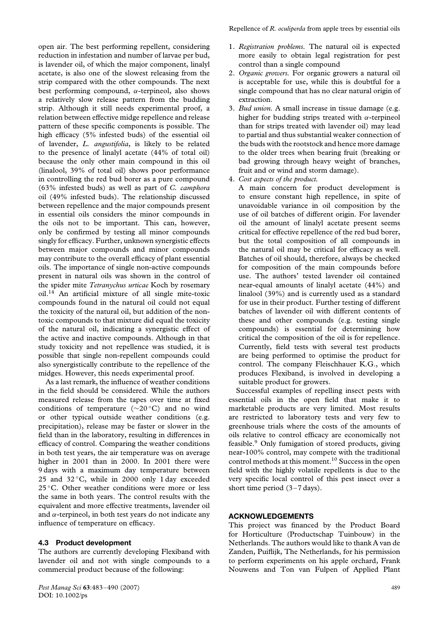open air. The best performing repellent, considering reduction in infestation and number of larvae per bud, is lavender oil, of which the major component, linalyl acetate, is also one of the slowest releasing from the strip compared with the other compounds. The next best performing compound, *α*-terpineol, also shows a relatively slow release pattern from the budding strip. Although it still needs experimental proof, a relation between effective midge repellence and release pattern of these specific components is possible. The high efficacy (5% infested buds) of the essential oil of lavender, *L. angustifolia*, is likely to be related to the presence of linalyl acetate (44% of total oil) because the only other main compound in this oil (linalool, 39% of total oil) shows poor performance in controlling the red bud borer as a pure compound (63% infested buds) as well as part of *C. camphora* oil (49% infested buds). The relationship discussed between repellence and the major compounds present in essential oils considers the minor compounds in the oils not to be important. This can, however, only be confirmed by testing all minor compounds singly for efficacy. Further, unknown synergistic effects between major compounds and minor compounds may contribute to the overall efficacy of plant essential oils. The importance of single non-active compounds present in natural oils was shown in the control of the spider mite *Tetranychus urticae* Koch by rosemary oil.14 An artificial mixture of all single mite-toxic compounds found in the natural oil could not equal the toxicity of the natural oil, but addition of the nontoxic compounds to that mixture did equal the toxicity of the natural oil, indicating a synergistic effect of the active and inactive compounds. Although in that study toxicity and not repellence was studied, it is possible that single non-repellent compounds could also synergistically contribute to the repellence of the midges. However, this needs experimental proof.

As a last remark, the influence of weather conditions in the field should be considered. While the authors measured release from the tapes over time at fixed conditions of temperature (∼20 ◦C) and no wind or other typical outside weather conditions (e.g. precipitation), release may be faster or slower in the field than in the laboratory, resulting in differences in efficacy of control. Comparing the weather conditions in both test years, the air temperature was on average higher in 2001 than in 2000. In 2001 there were 9 days with a maximum day temperature between 25 and 32 ℃, while in 2000 only 1 day exceeded 25 °C. Other weather conditions were more or less the same in both years. The control results with the equivalent and more effective treatments, lavender oil and  $\alpha$ -terpineol, in both test years do not indicate any influence of temperature on efficacy.

## **4.3 Product development**

The authors are currently developing Flexiband with lavender oil and not with single compounds to a commercial product because of the following:

- 1. *Registration problems.* The natural oil is expected more easily to obtain legal registration for pest control than a single compound
- 2. *Organic growers.* For organic growers a natural oil is acceptable for use, while this is doubtful for a single compound that has no clear natural origin of extraction.
- 3. *Bud union.* A small increase in tissue damage (e.g. higher for budding strips treated with *α*-terpineol than for strips treated with lavender oil) may lead to partial and thus substantial weaker connection of the buds with the rootstock and hence more damage to the older trees when bearing fruit (breaking or bad growing through heavy weight of branches, fruit and or wind and storm damage).
- 4. *Cost aspects of the product.*

A main concern for product development is to ensure constant high repellence, in spite of unavoidable variance in oil composition by the use of oil batches of different origin. For lavender oil the amount of linalyl acetate present seems critical for effective repellence of the red bud borer, but the total composition of all compounds in the natural oil may be critical for efficacy as well. Batches of oil should, therefore, always be checked for composition of the main compounds before use. The authors' tested lavender oil contained near-equal amounts of linalyl acetate (44%) and linalool (39%) and is currently used as a standard for use in their product. Further testing of different batches of lavender oil with different contents of these and other compounds (e.g. testing single compounds) is essential for determining how critical the composition of the oil is for repellence. Currently, field tests with several test products are being performed to optimise the product for control. The company Fleischhauer K.G., which produces Flexiband, is involved in developing a suitable product for growers.

Successful examples of repelling insect pests with essential oils in the open field that make it to marketable products are very limited. Most results are restricted to laboratory tests and very few to greenhouse trials where the costs of the amounts of oils relative to control efficacy are economically not feasible.9 Only fumigation of stored products, giving near-100% control, may compete with the traditional control methods at this moment.<sup>10</sup> Success in the open field with the highly volatile repellents is due to the very specific local control of this pest insect over a short time period (3–7 days).

## **ACKNOWLEDGEMENTS**

This project was financed by the Product Board for Horticulture (Productschap Tuinbouw) in the Netherlands. The authors would like to thank A van de Zanden, Puiflijk, The Netherlands, for his permission to perform experiments on his apple orchard, Frank Nouwens and Ton van Fulpen of Applied Plant